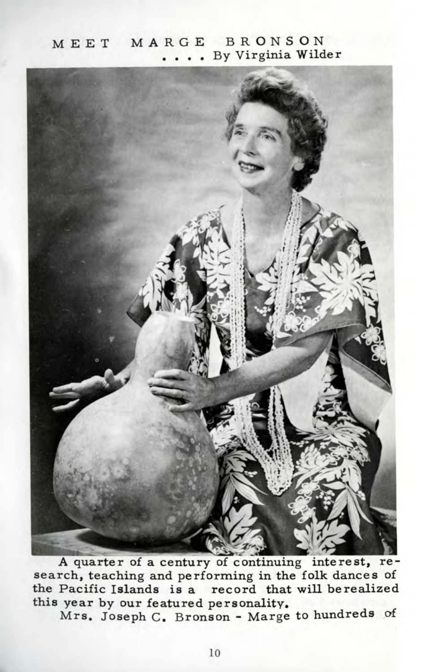## MEET MARGE BRONSON . By Virginia Wilder



A quarter of a century of continuing interest, research, teaching and performing in the folk dances of the Pacific Islands is a record that will be realized this year by our featured personality.

Mrs. Joseph C. Bronson - Marge to hundreds of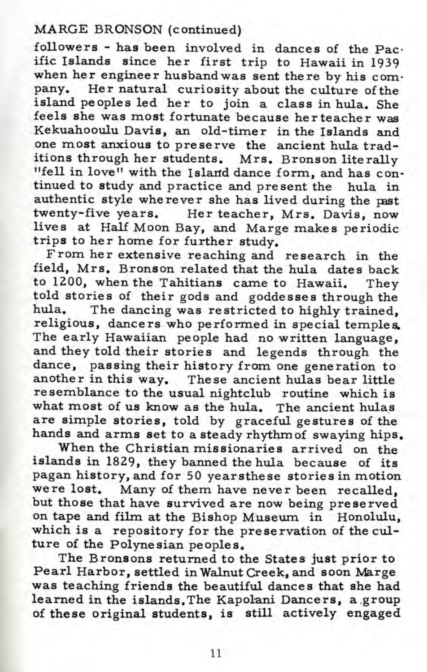## MARGE BRONSON (continued)

followers - has been involved in dances of the Pacific Islands since her first trip to Hawaii in 1939 when her engineer husband was sent there by his company. Her natural curiosity about the culture of the island peoples led her to join a class in hula. She feels she was most fortunate because her teacher was Kekuahooulu Davis, an old-timer in the Islands and one most anxious to preserve the ancient hula traditions through her students. Mrs. Bronson literally "fell in love" with the Island dance form, and has continued to study and practice and present the hula in authentic style wherever she has lived during the past twenty-five years. Her teacher, Mrs. Davis, now lives at Half Moon Bay, and Marge makes periodic trips to her home for further study.

From her extensive reaching and research in the field, Mrs. Bronson related that the hula dates back to 1200, when the Tahitians came to Hawaii. They told stories of their gods and goddesses through the hula. The dancing was restricted to highly trained, religious, dancers who performed in special temples. The early Hawaiian people had no written language, and they told their stories and legends through the dance, passing their history from one generation to ance, passing their matery from the generation to<br>another in this way. These ancient hulas bear little resemblance to the usual nightclub routine which is what most of us know as the hula. The ancient hulas are simple stories, told by graceful gestures of the hands and arms set to a steady rhythm of swaying hips.

When the Christian missionaries arrived on the islands in 1829, they banned the hula because of its pagan history, and for 50 yearsthese stories in motion were lost. Many of them have never been recalled, but those that have survived are now being preserved on tape and film at the Bishop Museum in Honolulu, which is a repository for the preservation of the culture of the Polynesian peoples.

The Bronsons returned to the States just prior to Pearl Harbor, settled in Walnut Creek, and soon Marge was teaching friends the beautiful dances that she had learned in the islands.The Kapolani Dancers, a.group of these original students, is still actively engaged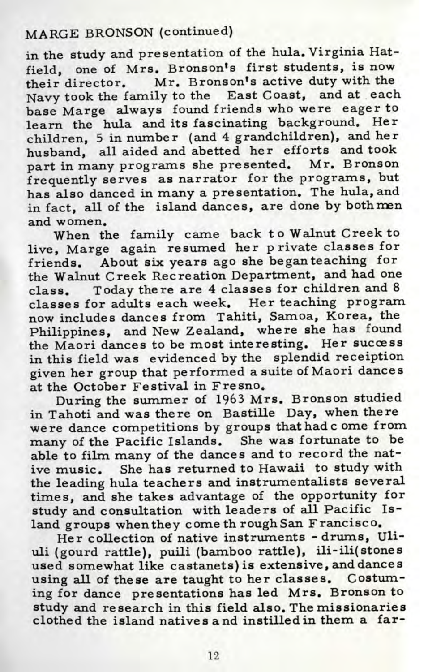## MARGE BRONSON (continued)

in the study and presentation of the hula. Virginia Hatfield, one of Mrs. Bronson's first students, is now<br>their director. Mr. Bronson's active duty with the heir director. Mr. Bronson's active duty with the Navy took the family to the East Coast, and at each base Marge always found friends who were eager to learn the hula and its fascinating background. Her children, 5 in number (and 4 grandchildren), and her husband, all aided and abetted her efforts and took part in many programs she presented. Mr. Bronson frequently serves as narrator for the programs, but has also danced in many a presentation. The hula, and in fact, all of the island dances, are done by both men and women.

When the family came back to Walnut Creek to live, Marge again resumed her private classes for friends. About six years ago she began teaching for the Walnut Creek Recreation Department, and had one class. Today there are 4 classes for children and 8 classes for adults each week. Her teaching program now includes dances from Tahiti, Samoa, Korea, the Philippines, and New Zealand, where she has found the Maori dances to be most interesting. Her success in this field was evidenced by the splendid receiption given her group that performed a suite of Maori dances at the October Festival in Fresno.

During the summer of 1963 Mrs. Bronson studied in Tahoti and was there on Bastille Day, when there were dance competitions by groups that hade ome from many of the Pacific Islands. She was fortunate to be able to film many of the dances and to record the native music. She has returned to Hawaii to study with the leading hula teachers and instrumentalists several times, and she takes advantage of the opportunity for study and consultation with leaders of all Pacific Island groups whenthey come th rough San Francisco.

Her collection of native instruments -drums, Uliuli (gourd rattle), puili (bamboo rattle), ili-ili(stones used somewhat like castanets) is extensive, and dances using all of these are taught to her classes. Costuming for dance presentations has led Mrs. Bronson to study and research in this field also. The missionaries clothed the island natives and instilled in them a far-